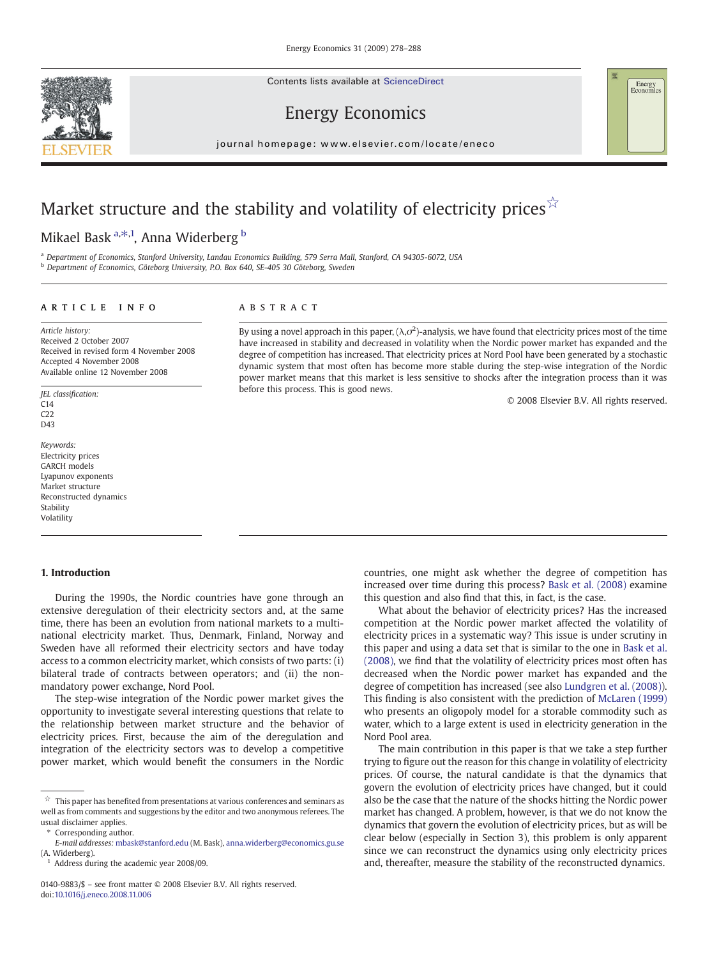Contents lists available at ScienceDirect





## Energy Economics

journal homepage: www.elsevier.com/locate/eneco  $j$  or extended with a large state  $\alpha$  is even  $\alpha$  that  $\alpha$  is even  $\alpha$  that  $\alpha$  is the  $\alpha$  th extended with  $\alpha$ 

# Market structure and the stability and volatility of electricity prices  $\hat{X}$

## Mikael Bask <sup>a, $\ast$ ,1, Anna Widerberg <sup>b</sup></sup>

a Department of Economics, Stanford University, Landau Economics Building, 579 Serra Mall, Stanford, CA 94305-6072, USA <sup>b</sup> Department of Economics, Göteborg University, P.O. Box 640, SE-405 30 Göteborg, Sweden

#### article info abstract

Article history: Received 2 October 2007 Received in revised form 4 November 2008 Accepted 4 November 2008 Available online 12 November 2008

JEL classification:  $C14$  $C22$ D43

Keywords: Electricity prices GARCH models Lyapunov exponents Market structure Reconstructed dynamics Stability Volatility

### 1. Introduction

During the 1990s, the Nordic countries have gone through an extensive deregulation of their electricity sectors and, at the same time, there has been an evolution from national markets to a multinational electricity market. Thus, Denmark, Finland, Norway and Sweden have all reformed their electricity sectors and have today access to a common electricity market, which consists of two parts: (i) bilateral trade of contracts between operators; and (ii) the nonmandatory power exchange, Nord Pool.

The step-wise integration of the Nordic power market gives the opportunity to investigate several interesting questions that relate to the relationship between market structure and the behavior of electricity prices. First, because the aim of the deregulation and integration of the electricity sectors was to develop a competitive power market, which would benefit the consumers in the Nordic

⁎ Corresponding author.

By using a novel approach in this paper,  $(\lambda, \sigma^2)$ -analysis, we have found that electricity prices most of the time have increased in stability and decreased in volatility when the Nordic power market has expanded and the degree of competition has increased. That electricity prices at Nord Pool have been generated by a stochastic dynamic system that most often has become more stable during the step-wise integration of the Nordic power market means that this market is less sensitive to shocks after the integration process than it was before this process. This is good news.

© 2008 Elsevier B.V. All rights reserved.

countries, one might ask whether the degree of competition has increased over time during this process? [Bask et al. \(2008\)](#page--1-0) examine this question and also find that this, in fact, is the case.

What about the behavior of electricity prices? Has the increased competition at the Nordic power market affected the volatility of electricity prices in a systematic way? This issue is under scrutiny in this paper and using a data set that is similar to the one in [Bask et al.](#page--1-0) [\(2008\),](#page--1-0) we find that the volatility of electricity prices most often has decreased when the Nordic power market has expanded and the degree of competition has increased (see also [Lundgren et al. \(2008\)](#page--1-0)). This finding is also consistent with the prediction of [McLaren \(1999\)](#page--1-0) who presents an oligopoly model for a storable commodity such as water, which to a large extent is used in electricity generation in the Nord Pool area.

The main contribution in this paper is that we take a step further trying to figure out the reason for this change in volatility of electricity prices. Of course, the natural candidate is that the dynamics that govern the evolution of electricity prices have changed, but it could also be the case that the nature of the shocks hitting the Nordic power market has changed. A problem, however, is that we do not know the dynamics that govern the evolution of electricity prices, but as will be clear below (especially in Section 3), this problem is only apparent since we can reconstruct the dynamics using only electricity prices and, thereafter, measure the stability of the reconstructed dynamics.

 $\overrightarrow{r}$  This paper has benefited from presentations at various conferences and seminars as well as from comments and suggestions by the editor and two anonymous referees. The usual disclaimer applies.

E-mail addresses: [mbask@stanford.edu](mailto:mbask@stanford.edu) (M. Bask), [anna.widerberg@economics.gu.se](mailto:anna.widerberg@economics.gu.se) (A. Widerberg).

Address during the academic year 2008/09.

<sup>0140-9883/\$</sup> – see front matter © 2008 Elsevier B.V. All rights reserved. doi[:10.1016/j.eneco.2008.11.006](http://dx.doi.org/10.1016/j.eneco.2008.11.006)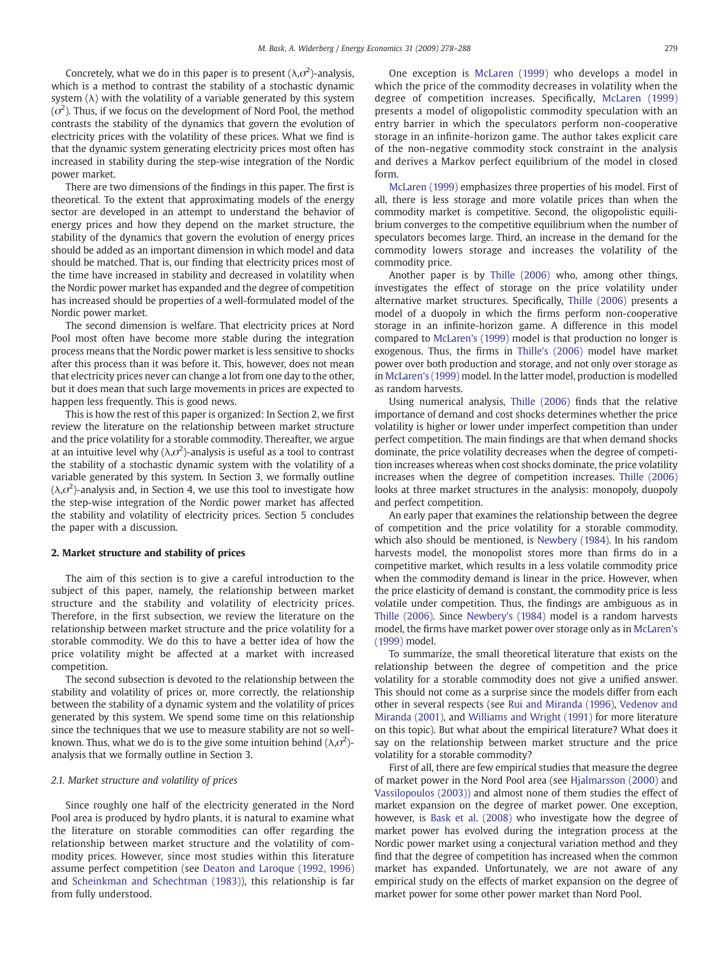Concretely, what we do in this paper is to present ( $\lambda$ , $\sigma^2$ )-analysis, which is a method to contrast the stability of a stochastic dynamic system  $(\lambda)$  with the volatility of a variable generated by this system  $(\sigma^2)$ . Thus, if we focus on the development of Nord Pool, the method contrasts the stability of the dynamics that govern the evolution of electricity prices with the volatility of these prices. What we find is that the dynamic system generating electricity prices most often has increased in stability during the step-wise integration of the Nordic power market.

There are two dimensions of the findings in this paper. The first is theoretical. To the extent that approximating models of the energy sector are developed in an attempt to understand the behavior of energy prices and how they depend on the market structure, the stability of the dynamics that govern the evolution of energy prices should be added as an important dimension in which model and data should be matched. That is, our finding that electricity prices most of the time have increased in stability and decreased in volatility when the Nordic power market has expanded and the degree of competition has increased should be properties of a well-formulated model of the Nordic power market.

The second dimension is welfare. That electricity prices at Nord Pool most often have become more stable during the integration process means that the Nordic power market is less sensitive to shocks after this process than it was before it. This, however, does not mean that electricity prices never can change a lot from one day to the other, but it does mean that such large movements in prices are expected to happen less frequently. This is good news.

This is how the rest of this paper is organized: In Section 2, we first review the literature on the relationship between market structure and the price volatility for a storable commodity. Thereafter, we argue at an intuitive level why ( $\lambda$ , $\sigma^2$ )-analysis is useful as a tool to contrast the stability of a stochastic dynamic system with the volatility of a variable generated by this system. In Section 3, we formally outline  $(\lambda, \sigma^2)$ -analysis and, in Section 4, we use this tool to investigate how the step-wise integration of the Nordic power market has affected the stability and volatility of electricity prices. Section 5 concludes the paper with a discussion.

#### 2. Market structure and stability of prices

The aim of this section is to give a careful introduction to the subject of this paper, namely, the relationship between market structure and the stability and volatility of electricity prices. Therefore, in the first subsection, we review the literature on the relationship between market structure and the price volatility for a storable commodity. We do this to have a better idea of how the price volatility might be affected at a market with increased competition.

The second subsection is devoted to the relationship between the stability and volatility of prices or, more correctly, the relationship between the stability of a dynamic system and the volatility of prices generated by this system. We spend some time on this relationship since the techniques that we use to measure stability are not so wellknown. Thus, what we do is to the give some intuition behind ( $\lambda$ , $\sigma^2$ )analysis that we formally outline in Section 3.

#### 2.1. Market structure and volatility of prices

Since roughly one half of the electricity generated in the Nord Pool area is produced by hydro plants, it is natural to examine what the literature on storable commodities can offer regarding the relationship between market structure and the volatility of commodity prices. However, since most studies within this literature assume perfect competition (see [Deaton and Laroque \(1992, 1996\)](#page--1-0) and [Scheinkman and Schechtman \(1983\)\)](#page--1-0), this relationship is far from fully understood.

One exception is [McLaren \(1999\)](#page--1-0) who develops a model in which the price of the commodity decreases in volatility when the degree of competition increases. Specifically, [McLaren \(1999\)](#page--1-0) presents a model of oligopolistic commodity speculation with an entry barrier in which the speculators perform non-cooperative storage in an infinite-horizon game. The author takes explicit care of the non-negative commodity stock constraint in the analysis and derives a Markov perfect equilibrium of the model in closed form.

[McLaren \(1999\)](#page--1-0) emphasizes three properties of his model. First of all, there is less storage and more volatile prices than when the commodity market is competitive. Second, the oligopolistic equilibrium converges to the competitive equilibrium when the number of speculators becomes large. Third, an increase in the demand for the commodity lowers storage and increases the volatility of the commodity price.

Another paper is by [Thille \(2006\)](#page--1-0) who, among other things, investigates the effect of storage on the price volatility under alternative market structures. Specifically, [Thille \(2006\)](#page--1-0) presents a model of a duopoly in which the firms perform non-cooperative storage in an infinite-horizon game. A difference in this model compared to [McLaren's \(1999\)](#page--1-0) model is that production no longer is exogenous. Thus, the firms in [Thille's \(2006\)](#page--1-0) model have market power over both production and storage, and not only over storage as in [McLaren's \(1999\)](#page--1-0) model. In the latter model, production is modelled as random harvests.

Using numerical analysis, [Thille \(2006\)](#page--1-0) finds that the relative importance of demand and cost shocks determines whether the price volatility is higher or lower under imperfect competition than under perfect competition. The main findings are that when demand shocks dominate, the price volatility decreases when the degree of competition increases whereas when cost shocks dominate, the price volatility increases when the degree of competition increases. [Thille \(2006\)](#page--1-0) looks at three market structures in the analysis: monopoly, duopoly and perfect competition.

An early paper that examines the relationship between the degree of competition and the price volatility for a storable commodity, which also should be mentioned, is [Newbery \(1984\).](#page--1-0) In his random harvests model, the monopolist stores more than firms do in a competitive market, which results in a less volatile commodity price when the commodity demand is linear in the price. However, when the price elasticity of demand is constant, the commodity price is less volatile under competition. Thus, the findings are ambiguous as in [Thille \(2006\).](#page--1-0) Since [Newbery's \(1984\)](#page--1-0) model is a random harvests model, the firms have market power over storage only as in [McLaren's](#page--1-0) [\(1999\)](#page--1-0) model.

To summarize, the small theoretical literature that exists on the relationship between the degree of competition and the price volatility for a storable commodity does not give a unified answer. This should not come as a surprise since the models differ from each other in several respects (see [Rui and Miranda \(1996\),](#page--1-0) [Vedenov and](#page--1-0) [Miranda \(2001\),](#page--1-0) and [Williams and Wright \(1991\)](#page--1-0) for more literature on this topic). But what about the empirical literature? What does it say on the relationship between market structure and the price volatility for a storable commodity?

First of all, there are few empirical studies that measure the degree of market power in the Nord Pool area (see [Hjalmarsson \(2000\)](#page--1-0) and [Vassilopoulos \(2003\)\)](#page--1-0) and almost none of them studies the effect of market expansion on the degree of market power. One exception, however, is [Bask et al. \(2008\)](#page--1-0) who investigate how the degree of market power has evolved during the integration process at the Nordic power market using a conjectural variation method and they find that the degree of competition has increased when the common market has expanded. Unfortunately, we are not aware of any empirical study on the effects of market expansion on the degree of market power for some other power market than Nord Pool.